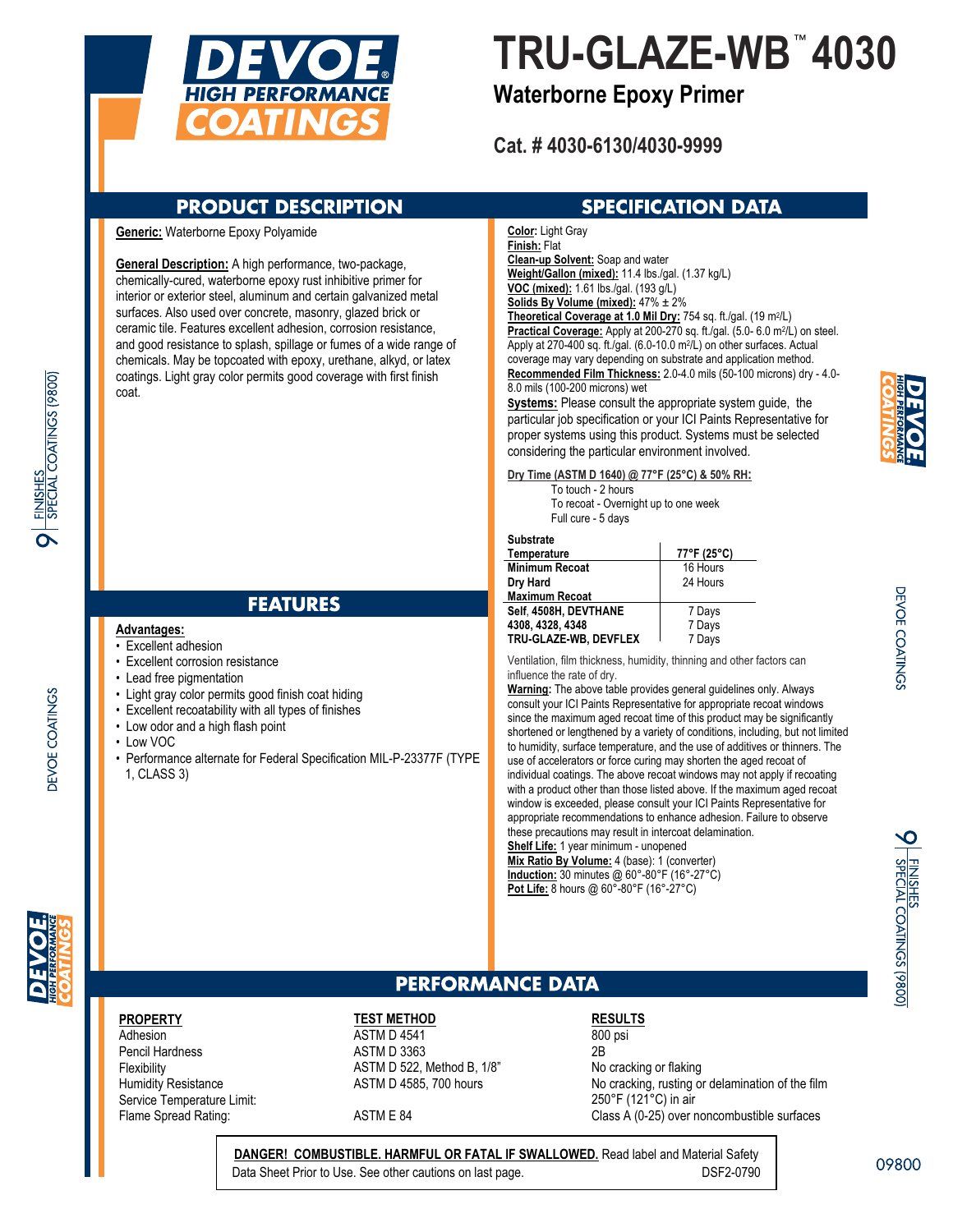

# **TRU-GLAZE-WB 4030**

## **Waterborne Epoxy Primer**

**Cat. # 4030-6130/4030-9999**

## **PRODUCT DESCRIPTION**

### **Generic:** Waterborne Epoxy Polyamide

**General Description:** A high performance, two-package, chemically-cured, waterborne epoxy rust inhibitive primer for interior or exterior steel, aluminum and certain galvanized metal surfaces. Also used over concrete, masonry, glazed brick or ceramic tile. Features excellent adhesion, corrosion resistance, and good resistance to splash, spillage or fumes of a wide range of chemicals. May be topcoated with epoxy, urethane, alkyd, or latex coatings. Light gray color permits good coverage with first finish coat.

## **FEATURES**

#### **Advantages:**

- Excellent adhesion
- Excellent corrosion resistance
- Lead free pigmentation
- Light gray color permits good finish coat hiding
- Excellent recoatability with all types of finishes
- Low odor and a high flash point
- Low VOC
- Performance alternate for Federal Specification MIL-P-23377F (TYPE 1, CLASS 3)

## **SPECIFICATION DATA**

**Color:** Light Gray **Finish:** Flat **Clean-up Solvent:** Soap and water **Weight/Gallon (mixed):** 11.4 lbs./gal. (1.37 kg/L)

**VOC (mixed):** 1.61 lbs./gal. (193 g/L) **Solids By Volume (mixed):** 47% ± 2%

**Theoretical Coverage at 1.0 Mil Dry:** 754 sq. ft./gal. (19 m2/L) **Practical Coverage:** Apply at 200-270 sq. ft./gal. (5.0- 6.0 m2/L) on steel. Apply at 270-400 sq. ft./gal. (6.0-10.0 m2/L) on other surfaces. Actual coverage may vary depending on substrate and application method. **Recommended Film Thickness:** 2.0-4.0 mils (50-100 microns) dry - 4.0- 8.0 mils (100-200 microns) wet

**Systems:** Please consult the appropriate system guide, the particular job specification or your ICI Paints Representative for proper systems using this product. Systems must be selected considering the particular environment involved.

**Dry Time (ASTM D 1640) @ 77°F (25°C) & 50% RH:**

 To touch - 2 hours To recoat - Overnight up to one week Full cure - 5 days

## **Substrate**

| Temperature           | 77°F (25°C) |
|-----------------------|-------------|
| Minimum Recoat        | 16 Hours    |
| Dry Hard              | 24 Hours    |
| Maximum Recoat        |             |
| Self. 4508H. DEVTHANE | 7 Days      |
| 4308.4328.4348        | 7 Days      |
| TRU-GLAZE-WB, DEVFLEX | 7 Days      |

Ventilation, film thickness, humidity, thinning and other factors can influence the rate of dry.

**Warning:** The above table provides general guidelines only. Always consult your ICI Paints Representative for appropriate recoat windows since the maximum aged recoat time of this product may be significantly shortened or lengthened by a variety of conditions, including, but not limited to humidity, surface temperature, and the use of additives or thinners. The use of accelerators or force curing may shorten the aged recoat of individual coatings. The above recoat windows may not apply if recoating with a product other than those listed above. If the maximum aged recoat window is exceeded, please consult your ICI Paints Representative for appropriate recommendations to enhance adhesion. Failure to observe these precautions may result in intercoat delamination. **Shelf Life:** 1 year minimum - unopened

**Mix Ratio By Volume:** 4 (base): 1 (converter) **Induction:** 30 minutes @ 60°-80°F (16°-27°C) **Pot Life:** 8 hours @ 60°-80°F (16°-27°C)

**PEVOE COATINGS** 

<u>NISHES</u><br>PECIAL COATINGS (9800)

## **PERFORMANCE DATA**

## **PROPERTY**

Adhesion Pencil Hardness **Flexibility** Humidity Resistance Service Temperature Limit: Flame Spread Rating:

### **TEST METHOD** ASTM D 4541 ASTM D 3363 ASTM D 522, Method B, 1/8" ASTM D 4585, 700 hours

ASTM E 84

## **RESULTS**

800 psi 2B No cracking or flaking No cracking, rusting or delamination of the film 250°F (121°C) in air Class A (0-25) over noncombustible surfaces

**DANGER! COMBUSTIBLE. HARMFUL OR FATAL IF SWALLOWED.** Read label and Material Safety Data Sheet Prior to Use. See other cautions on last page. DSF2-0790